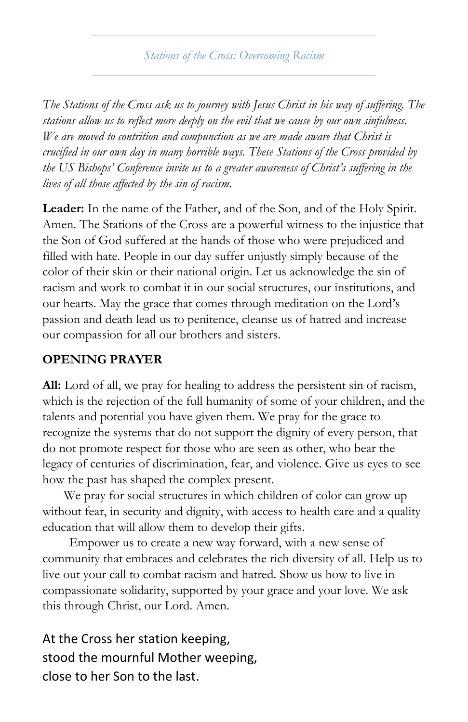#### *Stations of the Cross: Overcoming Racism*

*The Stations of the Cross ask us to journey with Jesus Christ in his way of suffering. The stations allow us to reflect more deeply on the evil that we cause by our own sinfulness. We are moved to contrition and compunction as we are made aware that Christ is crucified in our own day in many horrible ways. These Stations of the Cross provided by the US Bishops' Conference invite us to a greater awareness of Christ's suffering in the lives of all those affected by the sin of racism.*

**Leader:** In the name of the Father, and of the Son, and of the Holy Spirit. Amen. The Stations of the Cross are a powerful witness to the injustice that the Son of God suffered at the hands of those who were prejudiced and filled with hate. People in our day suffer unjustly simply because of the color of their skin or their national origin. Let us acknowledge the sin of racism and work to combat it in our social structures, our institutions, and our hearts. May the grace that comes through meditation on the Lord's passion and death lead us to penitence, cleanse us of hatred and increase our compassion for all our brothers and sisters.

#### **OPENING PRAYER**

**All:** Lord of all, we pray for healing to address the persistent sin of racism, which is the rejection of the full humanity of some of your children, and the talents and potential you have given them. We pray for the grace to recognize the systems that do not support the dignity of every person, that do not promote respect for those who are seen as other, who bear the legacy of centuries of discrimination, fear, and violence. Give us eyes to see how the past has shaped the complex present.

We pray for social structures in which children of color can grow up without fear, in security and dignity, with access to health care and a quality education that will allow them to develop their gifts.

Empower us to create a new way forward, with a new sense of community that embraces and celebrates the rich diversity of all. Help us to live out your call to combat racism and hatred. Show us how to live in compassionate solidarity, supported by your grace and your love. We ask this through Christ, our Lord. Amen.

At the Cross her station keeping, stood the mournful Mother weeping, close to her Son to the last.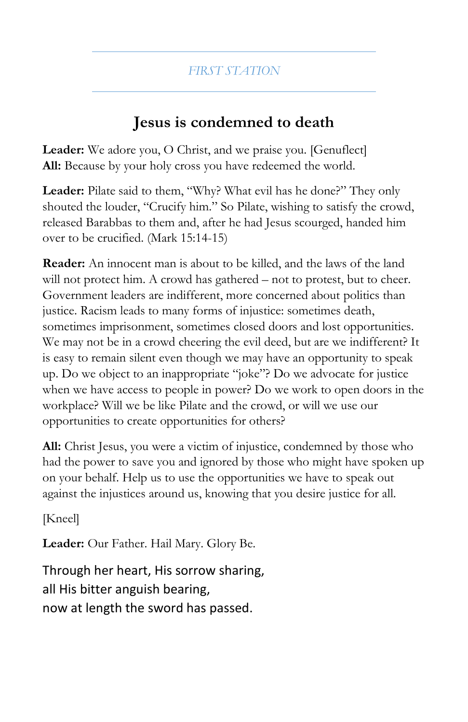### **Jesus is condemned to death**

**Leader:** We adore you, O Christ, and we praise you. [Genuflect] All: Because by your holy cross you have redeemed the world.

**Leader:** Pilate said to them, "Why? What evil has he done?" They only shouted the louder, "Crucify him." So Pilate, wishing to satisfy the crowd, released Barabbas to them and, after he had Jesus scourged, handed him over to be crucified. (Mark 15:14-15)

**Reader:** An innocent man is about to be killed, and the laws of the land will not protect him. A crowd has gathered – not to protest, but to cheer. Government leaders are indifferent, more concerned about politics than justice. Racism leads to many forms of injustice: sometimes death, sometimes imprisonment, sometimes closed doors and lost opportunities. We may not be in a crowd cheering the evil deed, but are we indifferent? It is easy to remain silent even though we may have an opportunity to speak up. Do we object to an inappropriate "joke"? Do we advocate for justice when we have access to people in power? Do we work to open doors in the workplace? Will we be like Pilate and the crowd, or will we use our opportunities to create opportunities for others?

**All:** Christ Jesus, you were a victim of injustice, condemned by those who had the power to save you and ignored by those who might have spoken up on your behalf. Help us to use the opportunities we have to speak out against the injustices around us, knowing that you desire justice for all.

[Kneel]

**Leader:** Our Father. Hail Mary. Glory Be.

Through her heart, His sorrow sharing, all His bitter anguish bearing, now at length the sword has passed.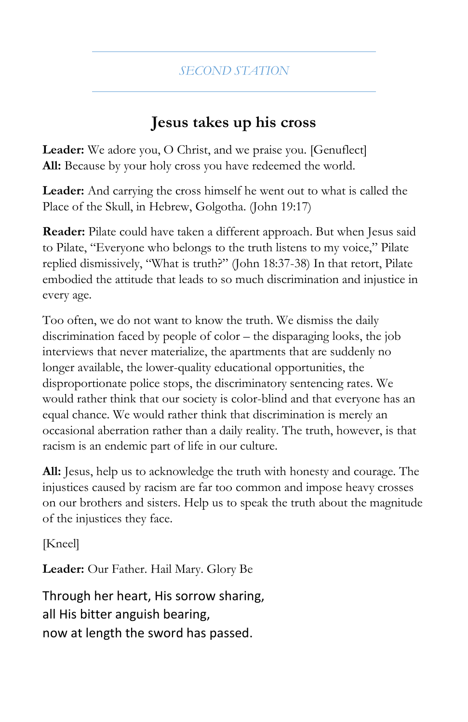# **Jesus takes up his cross**

**Leader:** We adore you, O Christ, and we praise you. [Genuflect] **All:** Because by your holy cross you have redeemed the world.

**Leader:** And carrying the cross himself he went out to what is called the Place of the Skull, in Hebrew, Golgotha. (John 19:17)

**Reader:** Pilate could have taken a different approach. But when Jesus said to Pilate, "Everyone who belongs to the truth listens to my voice," Pilate replied dismissively, "What is truth?" (John 18:37-38) In that retort, Pilate embodied the attitude that leads to so much discrimination and injustice in every age.

Too often, we do not want to know the truth. We dismiss the daily discrimination faced by people of color – the disparaging looks, the job interviews that never materialize, the apartments that are suddenly no longer available, the lower-quality educational opportunities, the disproportionate police stops, the discriminatory sentencing rates. We would rather think that our society is color-blind and that everyone has an equal chance. We would rather think that discrimination is merely an occasional aberration rather than a daily reality. The truth, however, is that racism is an endemic part of life in our culture.

**All:** Jesus, help us to acknowledge the truth with honesty and courage. The injustices caused by racism are far too common and impose heavy crosses on our brothers and sisters. Help us to speak the truth about the magnitude of the injustices they face.

[Kneel]

**Leader:** Our Father. Hail Mary. Glory Be

Through her heart, His sorrow sharing, all His bitter anguish bearing, now at length the sword has passed.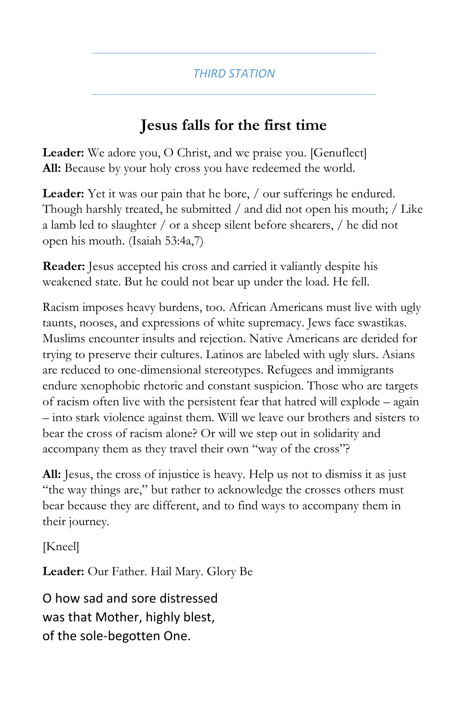# **Jesus falls for the first time**

**Leader:** We adore you, O Christ, and we praise you. [Genuflect] **All:** Because by your holy cross you have redeemed the world.

Leader: Yet it was our pain that he bore, / our sufferings he endured. Though harshly treated, he submitted / and did not open his mouth; / Like a lamb led to slaughter / or a sheep silent before shearers, / he did not open his mouth. (Isaiah 53:4a,7)

**Reader:** Jesus accepted his cross and carried it valiantly despite his weakened state. But he could not bear up under the load. He fell.

Racism imposes heavy burdens, too. African Americans must live with ugly taunts, nooses, and expressions of white supremacy. Jews face swastikas. Muslims encounter insults and rejection. Native Americans are derided for trying to preserve their cultures. Latinos are labeled with ugly slurs. Asians are reduced to one-dimensional stereotypes. Refugees and immigrants endure xenophobic rhetoric and constant suspicion. Those who are targets of racism often live with the persistent fear that hatred will explode – again – into stark violence against them. Will we leave our brothers and sisters to bear the cross of racism alone? Or will we step out in solidarity and accompany them as they travel their own "way of the cross"?

**All:** Jesus, the cross of injustice is heavy. Help us not to dismiss it as just "the way things are," but rather to acknowledge the crosses others must bear because they are different, and to find ways to accompany them in their journey.

[Kneel]

**Leader:** Our Father. Hail Mary. Glory Be

O how sad and sore distressed was that Mother, highly blest, of the sole-begotten One.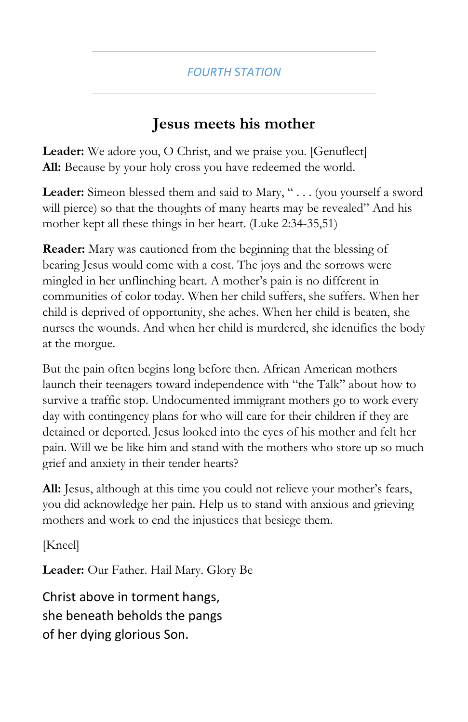### **Jesus meets his mother**

Leader: We adore you, O Christ, and we praise you. [Genuflect] **All:** Because by your holy cross you have redeemed the world.

Leader: Simeon blessed them and said to Mary, " . . . (you yourself a sword will pierce) so that the thoughts of many hearts may be revealed" And his mother kept all these things in her heart. (Luke 2:34-35,51)

**Reader:** Mary was cautioned from the beginning that the blessing of bearing Jesus would come with a cost. The joys and the sorrows were mingled in her unflinching heart. A mother's pain is no different in communities of color today. When her child suffers, she suffers. When her child is deprived of opportunity, she aches. When her child is beaten, she nurses the wounds. And when her child is murdered, she identifies the body at the morgue.

But the pain often begins long before then. African American mothers launch their teenagers toward independence with "the Talk" about how to survive a traffic stop. Undocumented immigrant mothers go to work every day with contingency plans for who will care for their children if they are detained or deported. Jesus looked into the eyes of his mother and felt her pain. Will we be like him and stand with the mothers who store up so much grief and anxiety in their tender hearts?

**All:** Jesus, although at this time you could not relieve your mother's fears, you did acknowledge her pain. Help us to stand with anxious and grieving mothers and work to end the injustices that besiege them.

[Kneel]

**Leader:** Our Father. Hail Mary. Glory Be

Christ above in torment hangs, she beneath beholds the pangs of her dying glorious Son.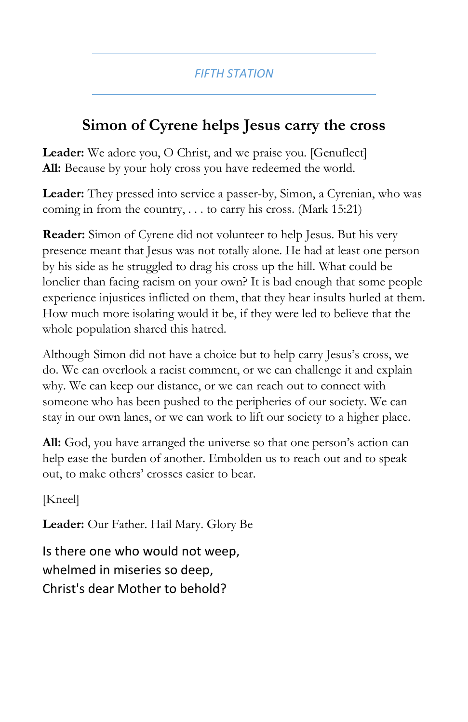# **Simon of Cyrene helps Jesus carry the cross**

**Leader:** We adore you, O Christ, and we praise you. [Genuflect] **All:** Because by your holy cross you have redeemed the world.

**Leader:** They pressed into service a passer-by, Simon, a Cyrenian, who was coming in from the country, . . . to carry his cross. (Mark 15:21)

**Reader:** Simon of Cyrene did not volunteer to help Jesus. But his very presence meant that Jesus was not totally alone. He had at least one person by his side as he struggled to drag his cross up the hill. What could be lonelier than facing racism on your own? It is bad enough that some people experience injustices inflicted on them, that they hear insults hurled at them. How much more isolating would it be, if they were led to believe that the whole population shared this hatred.

Although Simon did not have a choice but to help carry Jesus's cross, we do. We can overlook a racist comment, or we can challenge it and explain why. We can keep our distance, or we can reach out to connect with someone who has been pushed to the peripheries of our society. We can stay in our own lanes, or we can work to lift our society to a higher place.

**All:** God, you have arranged the universe so that one person's action can help ease the burden of another. Embolden us to reach out and to speak out, to make others' crosses easier to bear.

[Kneel]

**Leader:** Our Father. Hail Mary. Glory Be

Is there one who would not weep, whelmed in miseries so deep, Christ's dear Mother to behold?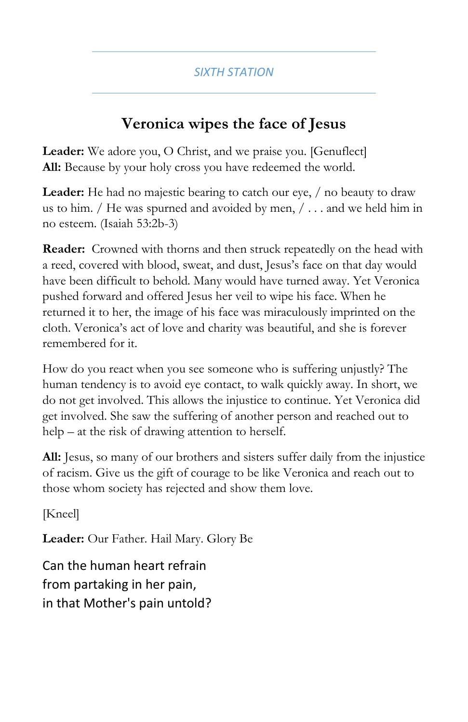# **Veronica wipes the face of Jesus**

**Leader:** We adore you, O Christ, and we praise you. [Genuflect] **All:** Because by your holy cross you have redeemed the world.

Leader: He had no majestic bearing to catch our eye,  $/$  no beauty to draw us to him.  $/$  He was spurned and avoided by men,  $/ \dots$  and we held him in no esteem. (Isaiah 53:2b-3)

**Reader:** Crowned with thorns and then struck repeatedly on the head with a reed, covered with blood, sweat, and dust, Jesus's face on that day would have been difficult to behold. Many would have turned away. Yet Veronica pushed forward and offered Jesus her veil to wipe his face. When he returned it to her, the image of his face was miraculously imprinted on the cloth. Veronica's act of love and charity was beautiful, and she is forever remembered for it.

How do you react when you see someone who is suffering unjustly? The human tendency is to avoid eye contact, to walk quickly away. In short, we do not get involved. This allows the injustice to continue. Yet Veronica did get involved. She saw the suffering of another person and reached out to help – at the risk of drawing attention to herself.

**All:** Jesus, so many of our brothers and sisters suffer daily from the injustice of racism. Give us the gift of courage to be like Veronica and reach out to those whom society has rejected and show them love.

[Kneel]

**Leader:** Our Father. Hail Mary. Glory Be

Can the human heart refrain from partaking in her pain, in that Mother's pain untold?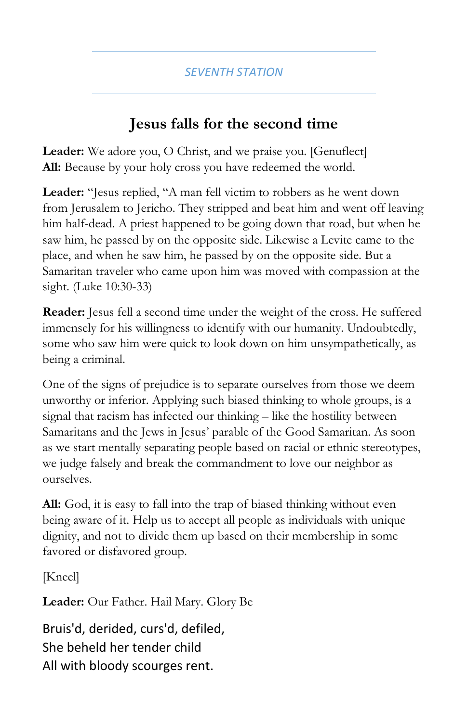### **Jesus falls for the second time**

**Leader:** We adore you, O Christ, and we praise you. [Genuflect] **All:** Because by your holy cross you have redeemed the world.

Leader: "Jesus replied, "A man fell victim to robbers as he went down from Jerusalem to Jericho. They stripped and beat him and went off leaving him half-dead. A priest happened to be going down that road, but when he saw him, he passed by on the opposite side. Likewise a Levite came to the place, and when he saw him, he passed by on the opposite side. But a Samaritan traveler who came upon him was moved with compassion at the sight. (Luke 10:30-33)

**Reader:** Jesus fell a second time under the weight of the cross. He suffered immensely for his willingness to identify with our humanity. Undoubtedly, some who saw him were quick to look down on him unsympathetically, as being a criminal.

One of the signs of prejudice is to separate ourselves from those we deem unworthy or inferior. Applying such biased thinking to whole groups, is a signal that racism has infected our thinking – like the hostility between Samaritans and the Jews in Jesus' parable of the Good Samaritan. As soon as we start mentally separating people based on racial or ethnic stereotypes, we judge falsely and break the commandment to love our neighbor as ourselves.

**All:** God, it is easy to fall into the trap of biased thinking without even being aware of it. Help us to accept all people as individuals with unique dignity, and not to divide them up based on their membership in some favored or disfavored group.

[Kneel]

**Leader:** Our Father. Hail Mary. Glory Be

Bruis'd, derided, curs'd, defiled, She beheld her tender child All with bloody scourges rent.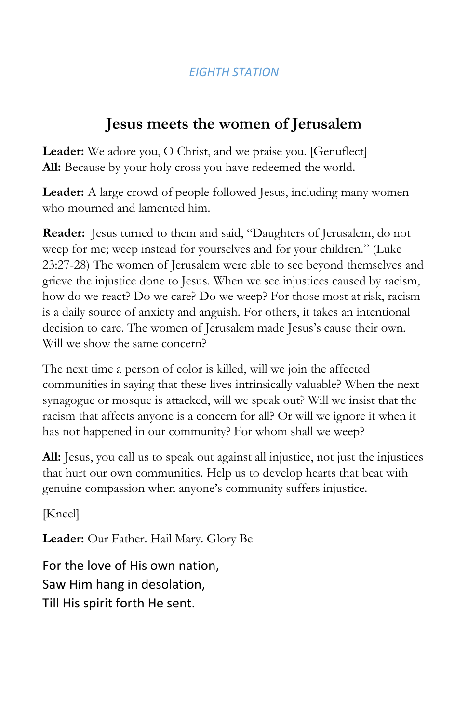### **Jesus meets the women of Jerusalem**

**Leader:** We adore you, O Christ, and we praise you. [Genuflect] **All:** Because by your holy cross you have redeemed the world.

**Leader:** A large crowd of people followed Jesus, including many women who mourned and lamented him.

**Reader:** Jesus turned to them and said, "Daughters of Jerusalem, do not weep for me; weep instead for yourselves and for your children." (Luke 23:27-28) The women of Jerusalem were able to see beyond themselves and grieve the injustice done to Jesus. When we see injustices caused by racism, how do we react? Do we care? Do we weep? For those most at risk, racism is a daily source of anxiety and anguish. For others, it takes an intentional decision to care. The women of Jerusalem made Jesus's cause their own. Will we show the same concern?

The next time a person of color is killed, will we join the affected communities in saying that these lives intrinsically valuable? When the next synagogue or mosque is attacked, will we speak out? Will we insist that the racism that affects anyone is a concern for all? Or will we ignore it when it has not happened in our community? For whom shall we weep?

**All:** Jesus, you call us to speak out against all injustice, not just the injustices that hurt our own communities. Help us to develop hearts that beat with genuine compassion when anyone's community suffers injustice.

[Kneel]

**Leader:** Our Father. Hail Mary. Glory Be

For the love of His own nation, Saw Him hang in desolation, Till His spirit forth He sent.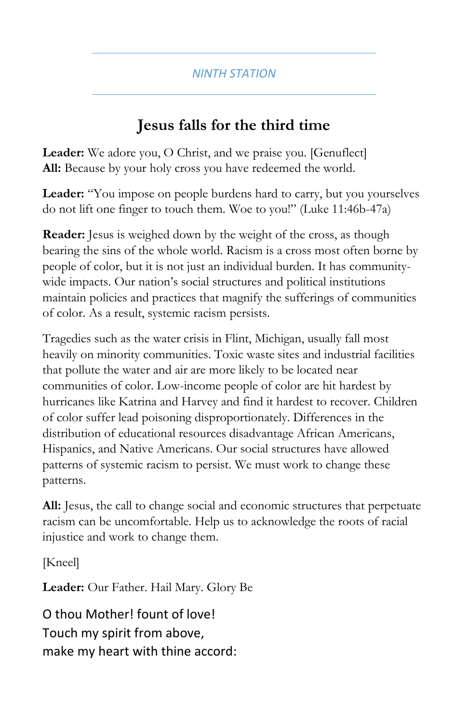# **Jesus falls for the third time**

**Leader:** We adore you, O Christ, and we praise you. [Genuflect] **All:** Because by your holy cross you have redeemed the world.

**Leader:** "You impose on people burdens hard to carry, but you yourselves do not lift one finger to touch them. Woe to you!" (Luke 11:46b-47a)

**Reader:** Jesus is weighed down by the weight of the cross, as though bearing the sins of the whole world. Racism is a cross most often borne by people of color, but it is not just an individual burden. It has communitywide impacts. Our nation's social structures and political institutions maintain policies and practices that magnify the sufferings of communities of color. As a result, systemic racism persists.

Tragedies such as the water crisis in Flint, Michigan, usually fall most heavily on minority communities. Toxic waste sites and industrial facilities that pollute the water and air are more likely to be located near communities of color. Low-income people of color are hit hardest by hurricanes like Katrina and Harvey and find it hardest to recover. Children of color suffer lead poisoning disproportionately. Differences in the distribution of educational resources disadvantage African Americans, Hispanics, and Native Americans. Our social structures have allowed patterns of systemic racism to persist. We must work to change these patterns.

**All:** Jesus, the call to change social and economic structures that perpetuate racism can be uncomfortable. Help us to acknowledge the roots of racial injustice and work to change them.

[Kneel]

**Leader:** Our Father. Hail Mary. Glory Be

O thou Mother! fount of love! Touch my spirit from above, make my heart with thine accord: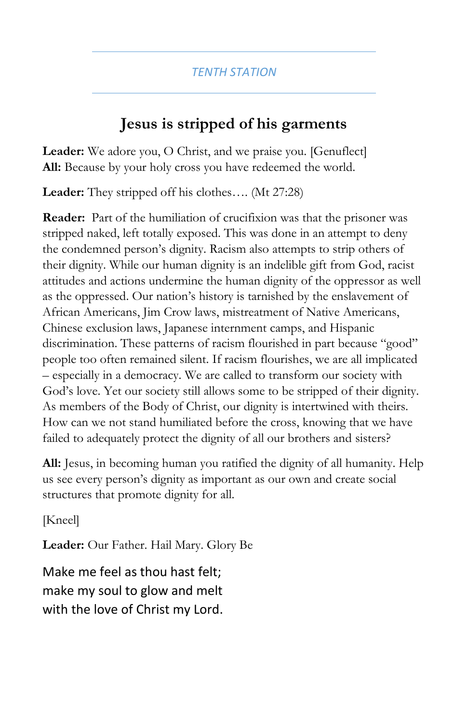# **Jesus is stripped of his garments**

**Leader:** We adore you, O Christ, and we praise you. [Genuflect] All: Because by your holy cross you have redeemed the world.

**Leader:** They stripped off his clothes…. (Mt 27:28)

**Reader:** Part of the humiliation of crucifixion was that the prisoner was stripped naked, left totally exposed. This was done in an attempt to deny the condemned person's dignity. Racism also attempts to strip others of their dignity. While our human dignity is an indelible gift from God, racist attitudes and actions undermine the human dignity of the oppressor as well as the oppressed. Our nation's history is tarnished by the enslavement of African Americans, Jim Crow laws, mistreatment of Native Americans, Chinese exclusion laws, Japanese internment camps, and Hispanic discrimination. These patterns of racism flourished in part because "good" people too often remained silent. If racism flourishes, we are all implicated – especially in a democracy. We are called to transform our society with God's love. Yet our society still allows some to be stripped of their dignity. As members of the Body of Christ, our dignity is intertwined with theirs. How can we not stand humiliated before the cross, knowing that we have failed to adequately protect the dignity of all our brothers and sisters?

**All:** Jesus, in becoming human you ratified the dignity of all humanity. Help us see every person's dignity as important as our own and create social structures that promote dignity for all.

[Kneel]

**Leader:** Our Father. Hail Mary. Glory Be

Make me feel as thou hast felt; make my soul to glow and melt with the love of Christ my Lord.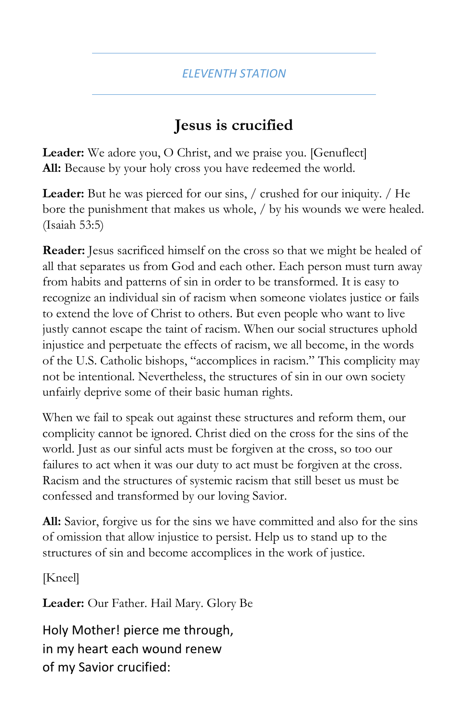# **Jesus is crucified**

**Leader:** We adore you, O Christ, and we praise you. [Genuflect] **All:** Because by your holy cross you have redeemed the world.

Leader: But he was pierced for our sins, / crushed for our iniquity. / He bore the punishment that makes us whole, / by his wounds we were healed. (Isaiah 53:5)

**Reader:** Jesus sacrificed himself on the cross so that we might be healed of all that separates us from God and each other. Each person must turn away from habits and patterns of sin in order to be transformed. It is easy to recognize an individual sin of racism when someone violates justice or fails to extend the love of Christ to others. But even people who want to live justly cannot escape the taint of racism. When our social structures uphold injustice and perpetuate the effects of racism, we all become, in the words of the U.S. Catholic bishops, "accomplices in racism." This complicity may not be intentional. Nevertheless, the structures of sin in our own society unfairly deprive some of their basic human rights.

When we fail to speak out against these structures and reform them, our complicity cannot be ignored. Christ died on the cross for the sins of the world. Just as our sinful acts must be forgiven at the cross, so too our failures to act when it was our duty to act must be forgiven at the cross. Racism and the structures of systemic racism that still beset us must be confessed and transformed by our loving Savior.

**All:** Savior, forgive us for the sins we have committed and also for the sins of omission that allow injustice to persist. Help us to stand up to the structures of sin and become accomplices in the work of justice.

[Kneel]

**Leader:** Our Father. Hail Mary. Glory Be

Holy Mother! pierce me through, in my heart each wound renew of my Savior crucified: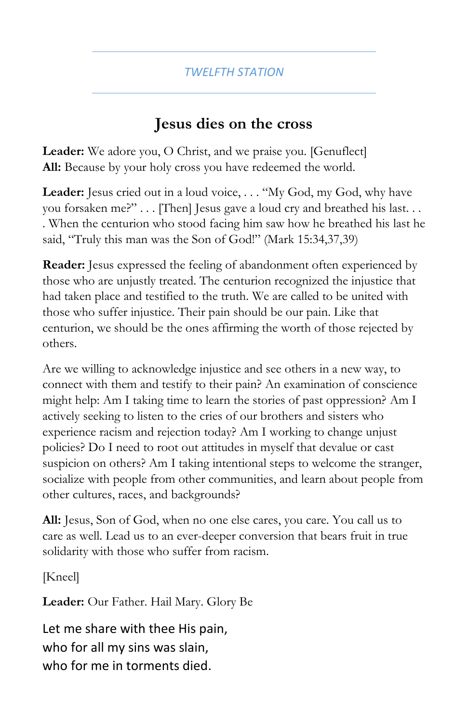### **Jesus dies on the cross**

**Leader:** We adore you, O Christ, and we praise you. [Genuflect] **All:** Because by your holy cross you have redeemed the world.

Leader: Jesus cried out in a loud voice, . . . "My God, my God, why have you forsaken me?" . . . [Then] Jesus gave a loud cry and breathed his last. . . . When the centurion who stood facing him saw how he breathed his last he said, "Truly this man was the Son of God!" (Mark 15:34,37,39)

**Reader:** Jesus expressed the feeling of abandonment often experienced by those who are unjustly treated. The centurion recognized the injustice that had taken place and testified to the truth. We are called to be united with those who suffer injustice. Their pain should be our pain. Like that centurion, we should be the ones affirming the worth of those rejected by others.

Are we willing to acknowledge injustice and see others in a new way, to connect with them and testify to their pain? An examination of conscience might help: Am I taking time to learn the stories of past oppression? Am I actively seeking to listen to the cries of our brothers and sisters who experience racism and rejection today? Am I working to change unjust policies? Do I need to root out attitudes in myself that devalue or cast suspicion on others? Am I taking intentional steps to welcome the stranger, socialize with people from other communities, and learn about people from other cultures, races, and backgrounds?

**All:** Jesus, Son of God, when no one else cares, you care. You call us to care as well. Lead us to an ever-deeper conversion that bears fruit in true solidarity with those who suffer from racism.

[Kneel]

**Leader:** Our Father. Hail Mary. Glory Be

Let me share with thee His pain, who for all my sins was slain, who for me in torments died.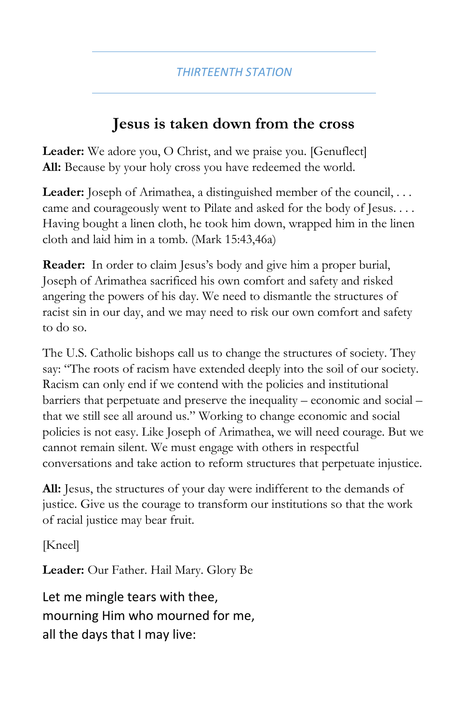#### **Jesus is taken down from the cross**

**Leader:** We adore you, O Christ, and we praise you. [Genuflect] **All:** Because by your holy cross you have redeemed the world.

Leader: Joseph of Arimathea, a distinguished member of the council, . . . came and courageously went to Pilate and asked for the body of Jesus. . . . Having bought a linen cloth, he took him down, wrapped him in the linen cloth and laid him in a tomb. (Mark 15:43,46a)

**Reader:** In order to claim Jesus's body and give him a proper burial, Joseph of Arimathea sacrificed his own comfort and safety and risked angering the powers of his day. We need to dismantle the structures of racist sin in our day, and we may need to risk our own comfort and safety to do so.

The U.S. Catholic bishops call us to change the structures of society. They say: "The roots of racism have extended deeply into the soil of our society. Racism can only end if we contend with the policies and institutional barriers that perpetuate and preserve the inequality – economic and social – that we still see all around us." Working to change economic and social policies is not easy. Like Joseph of Arimathea, we will need courage. But we cannot remain silent. We must engage with others in respectful conversations and take action to reform structures that perpetuate injustice.

**All:** Jesus, the structures of your day were indifferent to the demands of justice. Give us the courage to transform our institutions so that the work of racial justice may bear fruit.

[Kneel]

**Leader:** Our Father. Hail Mary. Glory Be

Let me mingle tears with thee, mourning Him who mourned for me, all the days that I may live: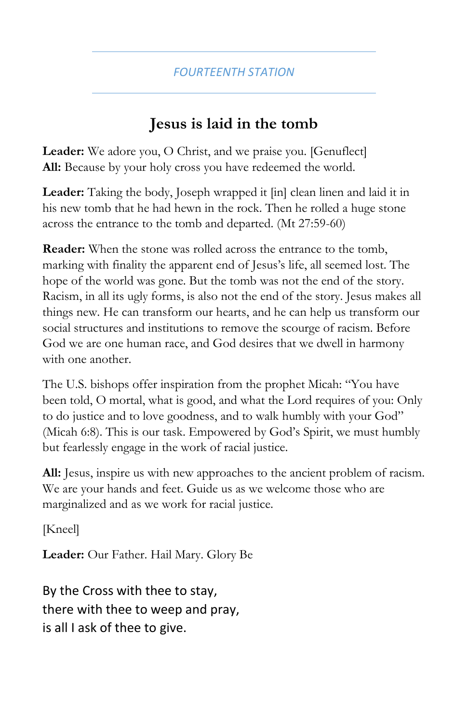# **Jesus is laid in the tomb**

**Leader:** We adore you, O Christ, and we praise you. [Genuflect] **All:** Because by your holy cross you have redeemed the world.

**Leader:** Taking the body, Joseph wrapped it [in] clean linen and laid it in his new tomb that he had hewn in the rock. Then he rolled a huge stone across the entrance to the tomb and departed. (Mt 27:59-60)

**Reader:** When the stone was rolled across the entrance to the tomb, marking with finality the apparent end of Jesus's life, all seemed lost. The hope of the world was gone. But the tomb was not the end of the story. Racism, in all its ugly forms, is also not the end of the story. Jesus makes all things new. He can transform our hearts, and he can help us transform our social structures and institutions to remove the scourge of racism. Before God we are one human race, and God desires that we dwell in harmony with one another.

The U.S. bishops offer inspiration from the prophet Micah: "You have been told, O mortal, what is good, and what the Lord requires of you: Only to do justice and to love goodness, and to walk humbly with your God" (Micah 6:8). This is our task. Empowered by God's Spirit, we must humbly but fearlessly engage in the work of racial justice.

**All:** Jesus, inspire us with new approaches to the ancient problem of racism. We are your hands and feet. Guide us as we welcome those who are marginalized and as we work for racial justice.

[Kneel]

**Leader:** Our Father. Hail Mary. Glory Be

By the Cross with thee to stay, there with thee to weep and pray, is all I ask of thee to give.